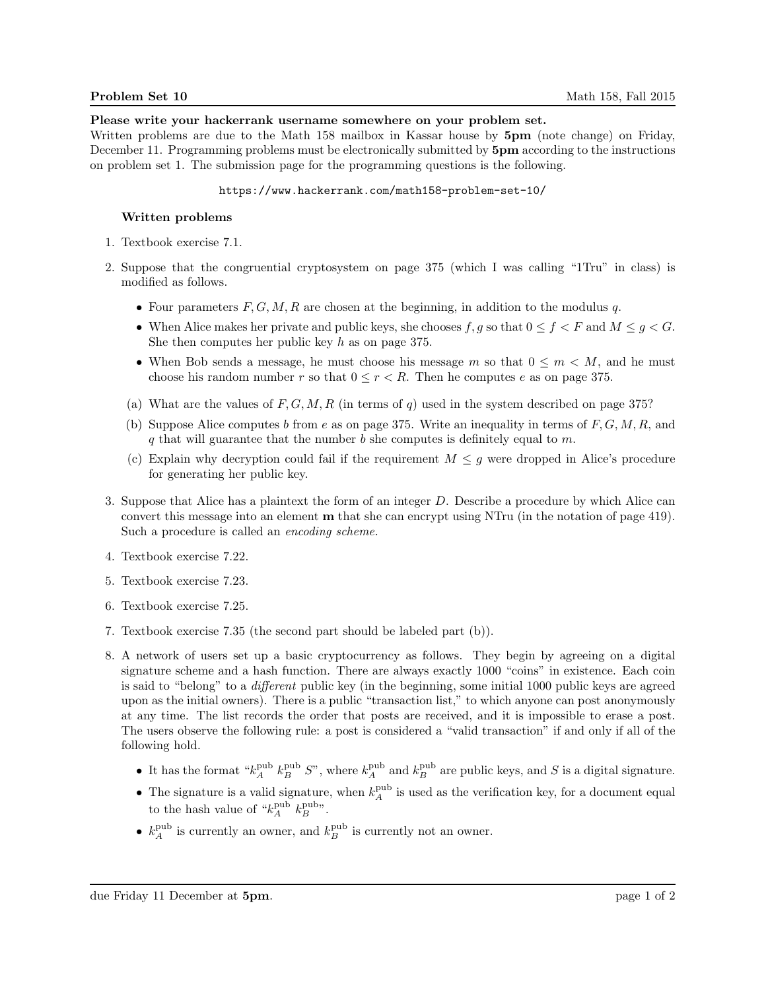## Please write your hackerrank username somewhere on your problem set.

Written problems are due to the Math 158 mailbox in Kassar house by  $5\text{pm}$  (note change) on Friday, December 11. Programming problems must be electronically submitted by  $5pm$  according to the instructions on problem set 1. The submission page for the programming questions is the following.

#### https://www.hackerrank.com/math158-problem-set-10/

## Written problems

- 1. Textbook exercise 7.1.
- 2. Suppose that the congruential cryptosystem on page 375 (which I was calling "1Tru" in class) is modified as follows.
	- Four parameters  $F, G, M, R$  are chosen at the beginning, in addition to the modulus  $q$ .
	- When Alice makes her private and public keys, she chooses f, g so that  $0 \le f \le F$  and  $M \le g \le G$ . She then computes her public key  $h$  as on page 375.
	- When Bob sends a message, he must choose his message m so that  $0 \leq m \leq M$ , and he must choose his random number r so that  $0 \leq r < R$ . Then he computes e as on page 375.
	- (a) What are the values of  $F, G, M, R$  (in terms of q) used in the system described on page 375?
	- (b) Suppose Alice computes b from e as on page 375. Write an inequality in terms of  $F, G, M, R$ , and q that will guarantee that the number  $b$  she computes is definitely equal to  $m$ .
	- (c) Explain why decryption could fail if the requirement  $M \leq g$  were dropped in Alice's procedure for generating her public key.
- 3. Suppose that Alice has a plaintext the form of an integer D. Describe a procedure by which Alice can convert this message into an element m that she can encrypt using NTru (in the notation of page 419). Such a procedure is called an encoding scheme.
- 4. Textbook exercise 7.22.
- 5. Textbook exercise 7.23.
- 6. Textbook exercise 7.25.
- 7. Textbook exercise 7.35 (the second part should be labeled part (b)).
- 8. A network of users set up a basic cryptocurrency as follows. They begin by agreeing on a digital signature scheme and a hash function. There are always exactly 1000 "coins" in existence. Each coin is said to "belong" to a different public key (in the beginning, some initial 1000 public keys are agreed upon as the initial owners). There is a public "transaction list," to which anyone can post anonymously at any time. The list records the order that posts are received, and it is impossible to erase a post. The users observe the following rule: a post is considered a "valid transaction" if and only if all of the following hold.
	- It has the format " $k_A^{\text{pub}} k_B^{\text{pub}} S$ ", where  $k_A^{\text{pub}}$  and  $k_B^{\text{pub}}$  are public keys, and S is a digital signature.
	- The signature is a valid signature, when  $k_A^{\text{pub}}$  is used as the verification key, for a document equal to the hash value of " $k_A^{\text{pub}} k_B^{\text{pub}}$ ".
	- $k_A^{\text{pub}}$  is currently an owner, and  $k_B^{\text{pub}}$  is currently not an owner.